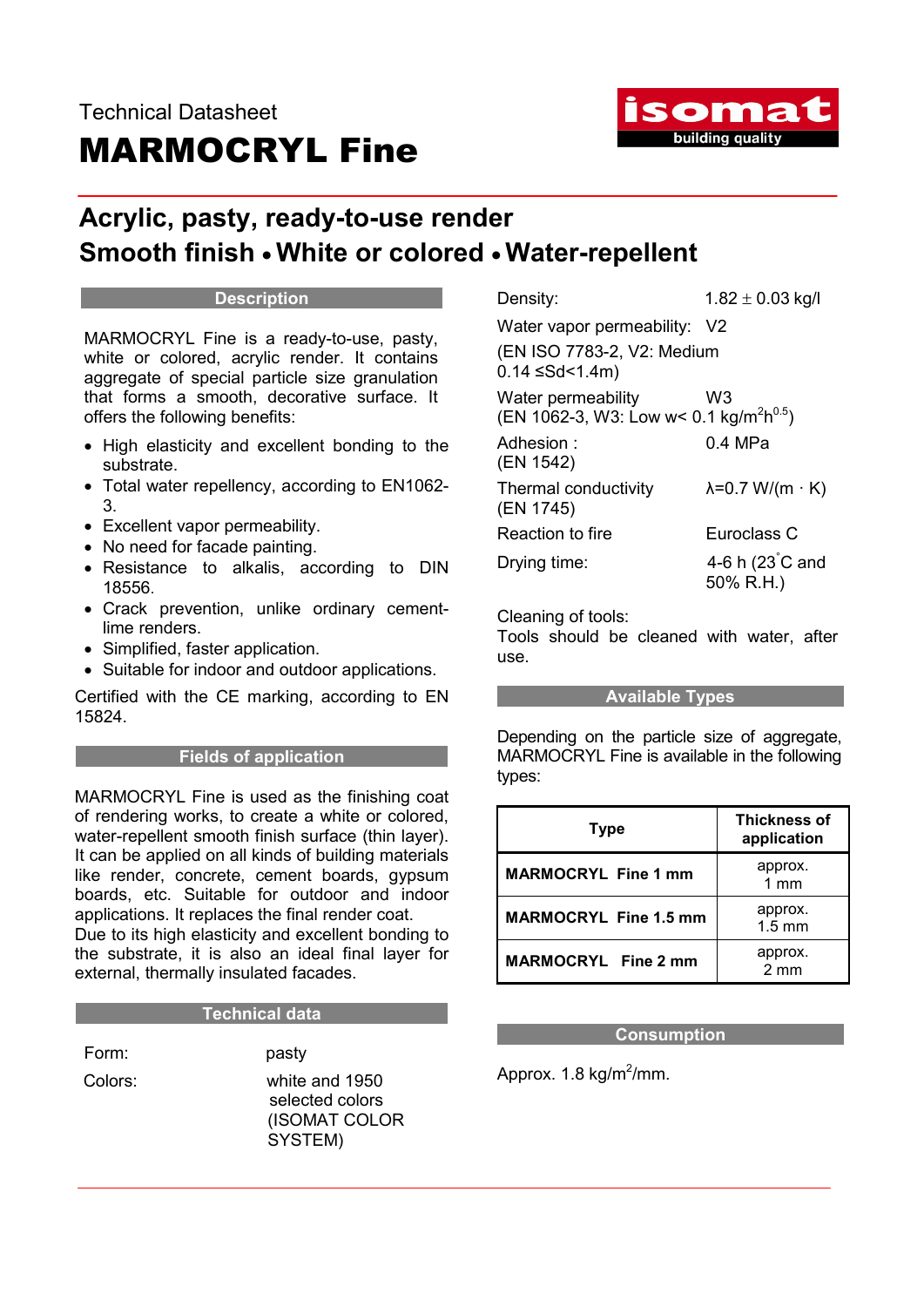

# Acrylic, pasty, ready-to-use render Smooth finish • White or colored • Water-repellent

### **Description**

MARMOCRYL Fine is a ready-to-use, pasty, white or colored, acrylic render. It contains aggregate of special particle size granulation that forms a smooth, decorative surface. It offers the following benefits:

- High elasticity and excellent bonding to the substrate.
- Total water repellency, according to EN1062- 3.
- Excellent vapor permeability.
- No need for facade painting.
- Resistance to alkalis, according to DIN 18556.
- Crack prevention, unlike ordinary cementlime renders.
- Simplified, faster application.
- Suitable for indoor and outdoor applications.

Certified with the CE marking, according to EN 15824.

# Fields of application

MARMOCRYL Fine is used as the finishing coat of rendering works, to create a white or colored, water-repellent smooth finish surface (thin layer). It can be applied on all kinds of building materials like render, concrete, cement boards, gypsum boards, etc. Suitable for outdoor and indoor applications. It replaces the final render coat. Due to its high elasticity and excellent bonding to the substrate, it is also an ideal final layer for external, thermally insulated facades.

# Technical data

Form: pasty

 Colors: white and 1950 selected colors (ISOMAT COLOR SYSTEM)

Density:  $1.82 \pm 0.03$  kg/l Water vapor permeability: V2 (EN ISO 7783-2, V2: Medium  $0.14$  ≤Sd<1.4m)

Water permeability W3 (EN 1062-3, W3: Low w< 0.1 kg/m<sup>2</sup>h<sup>0.5</sup>)

Adhesion : 0.4 MPa (EN 1542) Thermal conductivity  $\lambda = 0.7 \text{ W/(m} \cdot \text{K)}$ (EN 1745) Reaction to fire **Euroclass C** Drying time: 4-6 h $(23^{\circ}$ C and 50% R.H.)

Cleaning of tools:

Tools should be cleaned with water, after use.

# Available Types

Depending on the particle size of aggregate, MARMOCRYL Fine is available in the following types:

| <b>Type</b>                  | <b>Thickness of</b><br>application |
|------------------------------|------------------------------------|
| <b>MARMOCRYL Fine 1 mm</b>   | approx.<br>1mm                     |
| <b>MARMOCRYL Fine 1.5 mm</b> | approx.<br>$1.5 \text{ mm}$        |
| <b>MARMOCRYL Fine 2 mm</b>   | approx.<br>$2 \text{ mm}$          |

# **Consumption**

Approx. 1.8 kg/m<sup>2</sup>/mm.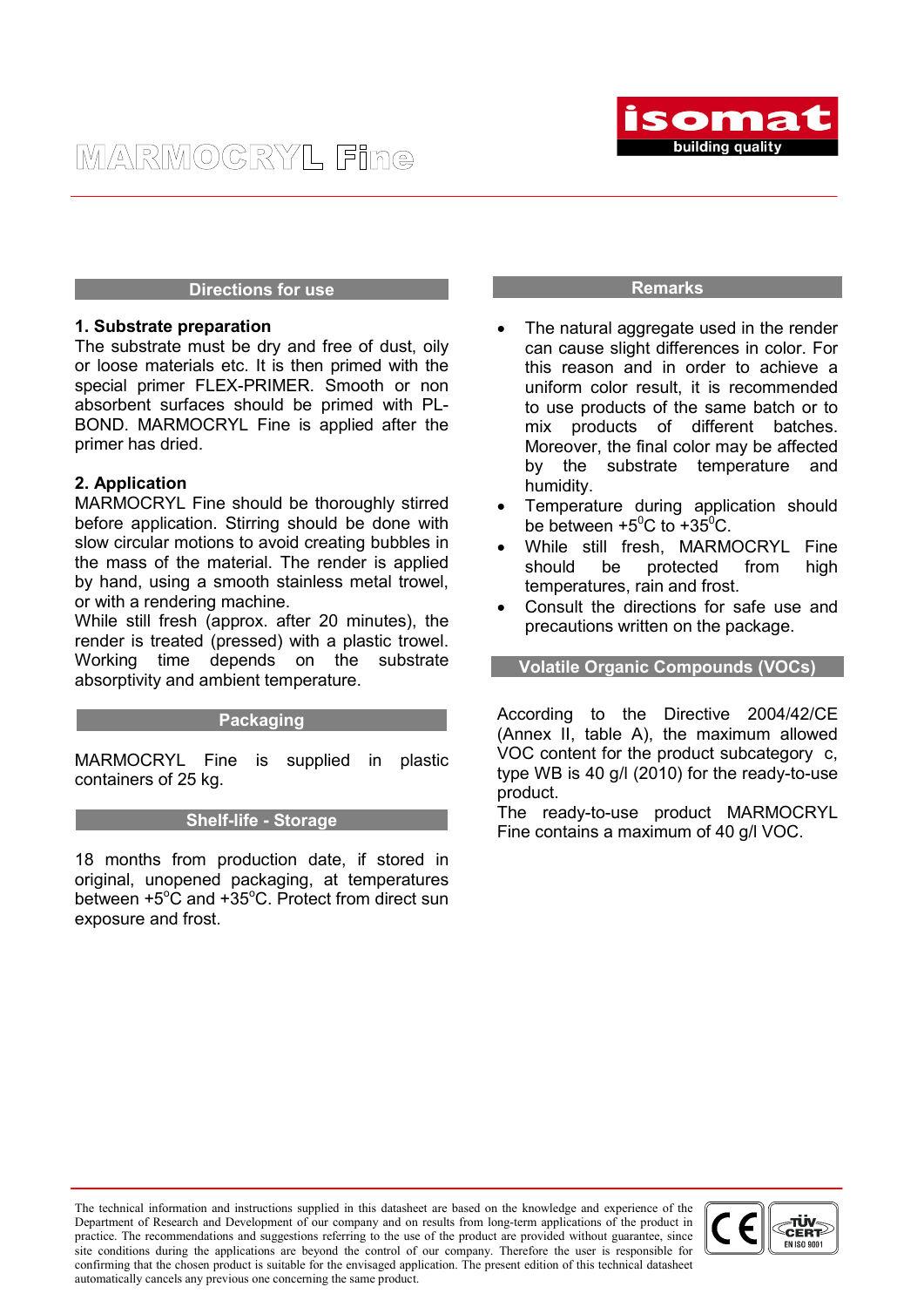

### Directions for use

### 1. Substrate preparation

The substrate must be dry and free of dust, oily or loose materials etc. It is then primed with the special primer FLEX-PRIMER. Smooth or non absorbent surfaces should be primed with PL-BOND. MARMOCRYL Fine is applied after the primer has dried.

### 2. Application

MARMOCRYL Fine should be thoroughly stirred before application. Stirring should be done with slow circular motions to avoid creating bubbles in the mass of the material. The render is applied by hand, using a smooth stainless metal trowel, or with a rendering machine.

While still fresh (approx. after 20 minutes), the render is treated (pressed) with a plastic trowel. Working time depends on the substrate absorptivity and ambient temperature.

### Packaging

MARMOCRYL Fine is supplied in plastic containers of 25 kg.

### Shelf-life - Storage

18 months from production date, if stored in original, unopened packaging, at temperatures between +5°C and +35°C. Protect from direct sun exposure and frost.

#### Remarks

- The natural aggregate used in the render can cause slight differences in color. For this reason and in order to achieve a uniform color result, it is recommended to use products of the same batch or to mix products of different batches. Moreover, the final color may be affected by the substrate temperature and humidity.
- Temperature during application should be between  $+5^{\circ}$ C to  $+35^{\circ}$ C.
- While still fresh, MARMOCRYL Fine should be protected from high temperatures, rain and frost.
- Consult the directions for safe use and precautions written on the package.

Volatile Organic Compounds (VOCs)

According to the Directive 2004/42/CE (Annex II, table A), the maximum allowed VOC content for the product subcategory c, type WB is 40 g/l (2010) for the ready-to-use product.

The ready-to-use product MARMOCRYL Fine contains a maximum of 40 g/l VOC.

The technical information and instructions supplied in this datasheet are based on the knowledge and experience of the Department of Research and Development of our company and on results from long-term applications of the product in practice. The recommendations and suggestions referring to the use of the product are provided without guarantee, since site conditions during the applications are beyond the control of our company. Therefore the user is responsible for confirming that the chosen product is suitable for the envisaged application. The present edition of this technical datasheet automatically cancels any previous one concerning the same product.

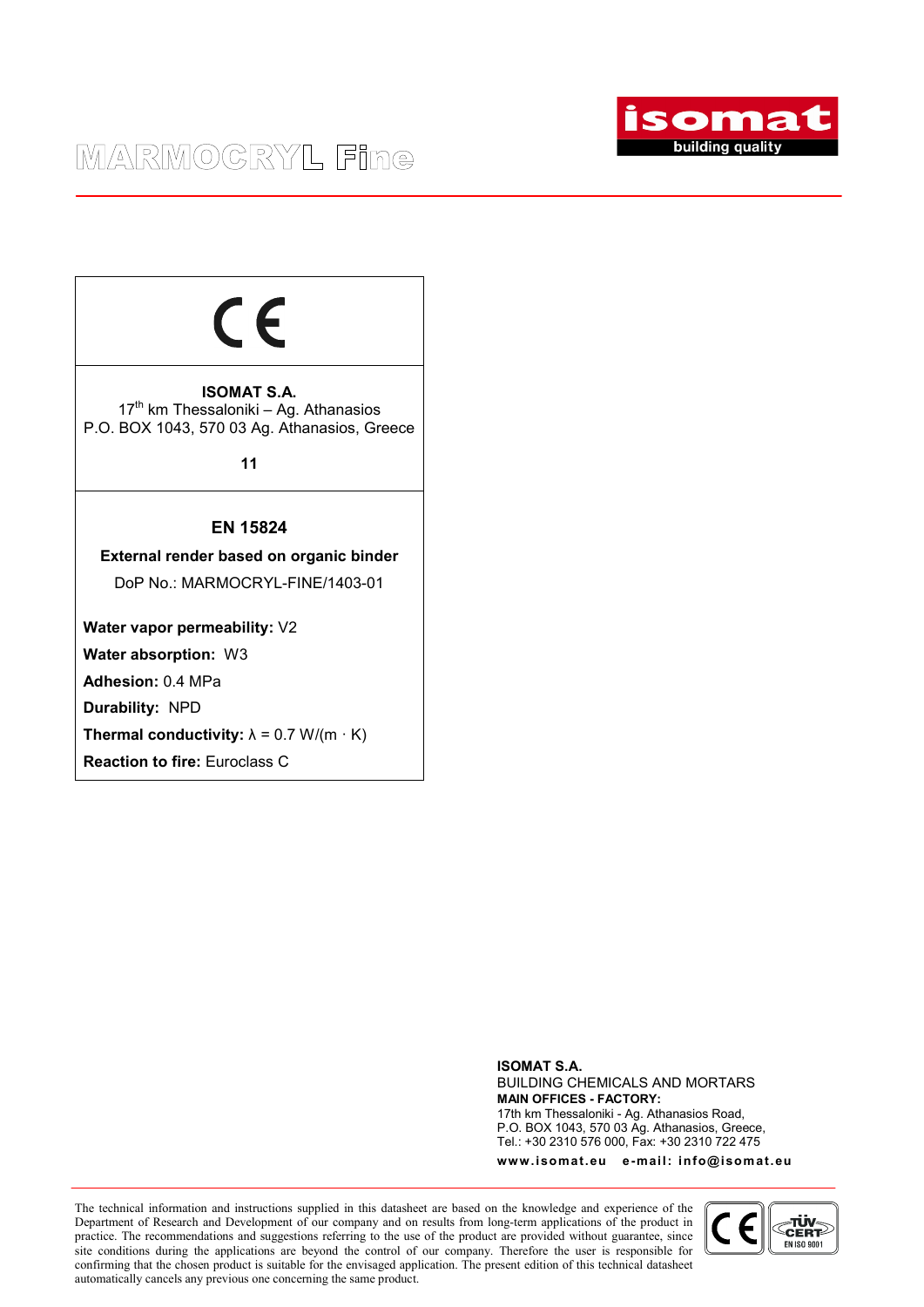

# $\epsilon$

ISOMAT S.A.  $17<sup>th</sup>$  km Thessaloniki – Ag. Athanasios P.O. BOX 1043, 570 03 Ag. Athanasios, Greece

11

# EN 15824

External render based on organic binder DoP No.: MARMOCRYL-FINE/1403-01

Water vapor permeability:  $\sqrt{2}$ 

Water absorption: W3

Adhesion: 0.4 MPa

Durability: NPD

Thermal conductivity:  $\lambda = 0.7$  W/(m  $\cdot$  K)

Reaction to fire: Euroclass C

ISOMAT S.A. BUILDING CHEMICALS AND MORTARS MAIN OFFICES - FACTORY: 17th km Thessaloniki - Ag. Athanasios Road, P.O. BOX 1043, 570 03 Ag. Athanasios, Greece, Tel.: +30 2310 576 000, Fax: +30 2310 722 475

www.isomat.eu e-mail: info@isomat.eu

The technical information and instructions supplied in this datasheet are based on the knowledge and experience of the Department of Research and Development of our company and on results from long-term applications of the product in practice. The recommendations and suggestions referring to the use of the product are provided without guarantee, since site conditions during the applications are beyond the control of our company. Therefore the user is responsible for confirming that the chosen product is suitable for the envisaged application. The present edition of this technical datasheet automatically cancels any previous one concerning the same product.

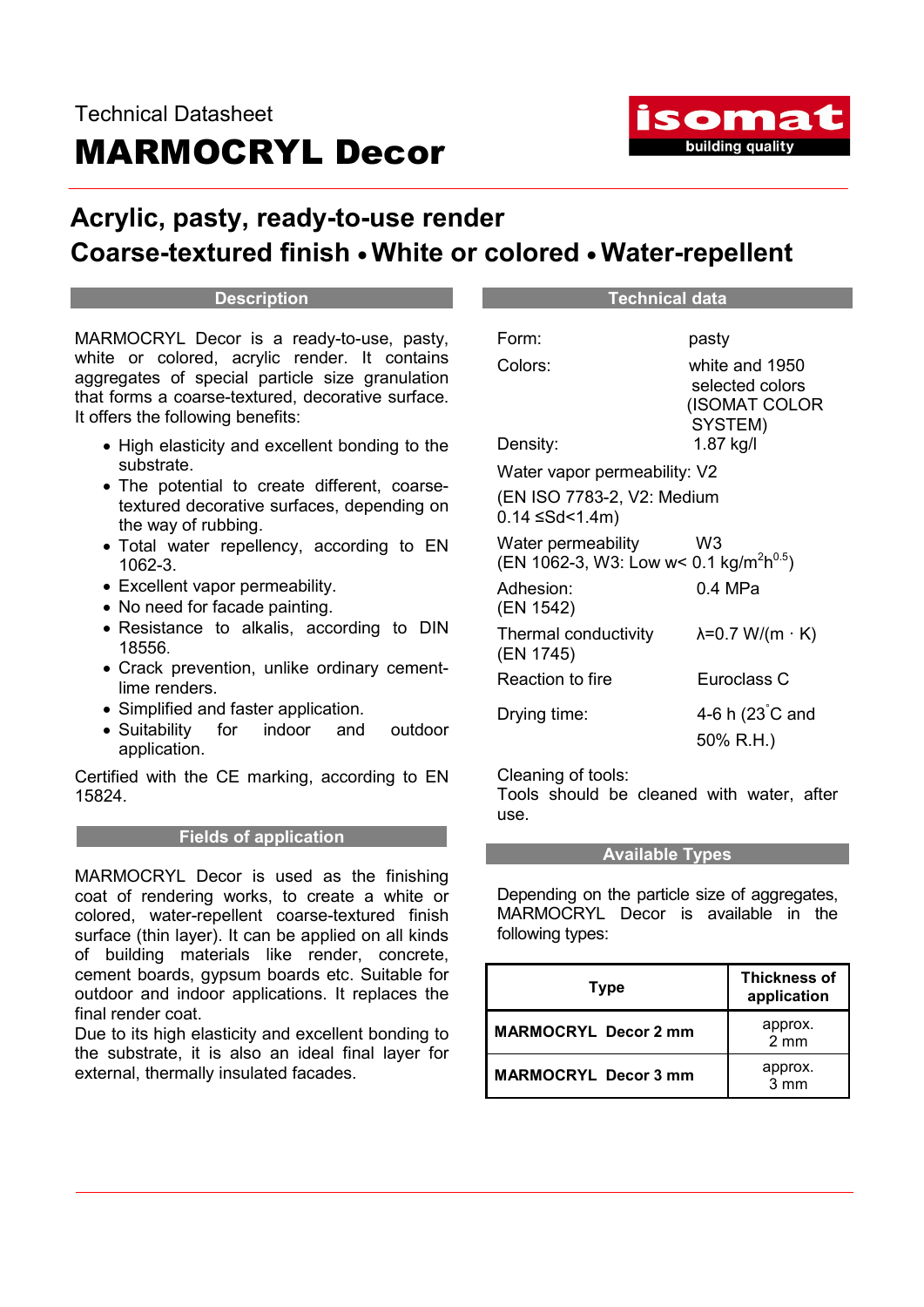

# Acrylic, pasty, ready-to-use render Coarse-textured finish White or colored Water-repellent

### **Description**

MARMOCRYL Decor is a ready-to-use, pasty, white or colored, acrylic render. It contains aggregates of special particle size granulation that forms a coarse-textured, decorative surface. It offers the following benefits:

- High elasticity and excellent bonding to the substrate.
- The potential to create different, coarsetextured decorative surfaces, depending on the way of rubbing.
- Total water repellency, according to EN 1062-3.
- Excellent vapor permeability.
- No need for facade painting.
- Resistance to alkalis, according to DIN 18556.
- Crack prevention, unlike ordinary cementlime renders.
- Simplified and faster application.
- Suitability for indoor and outdoor application.

Certified with the CE marking, according to EN 15824.

# Fields of application

MARMOCRYL Decor is used as the finishing coat of rendering works, to create a white or colored, water-repellent coarse-textured finish surface (thin layer). It can be applied on all kinds of building materials like render, concrete, cement boards, gypsum boards etc. Suitable for outdoor and indoor applications. It replaces the final render coat.

Due to its high elasticity and excellent bonding to the substrate, it is also an ideal final layer for external, thermally insulated facades.

| pasty                                                                                 |  |
|---------------------------------------------------------------------------------------|--|
| white and 1950                                                                        |  |
| selected colors<br>(ISOMAT COLOR                                                      |  |
| SYSTEM)                                                                               |  |
| 1.87 kg/l                                                                             |  |
| Water vapor permeability: V2                                                          |  |
| (EN ISO 7783-2, V2: Medium<br>$0.14$ $\leq$ Sd<1.4m)                                  |  |
|                                                                                       |  |
| W3                                                                                    |  |
| Water permeability<br>(EN 1062-3, W3: Low w< 0.1 kg/m <sup>2</sup> h <sup>0.5</sup> ) |  |
| 0.4 MPa                                                                               |  |
|                                                                                       |  |
| $\lambda$ =0.7 W/(m · K)                                                              |  |
| Euroclass C                                                                           |  |
| 4-6 h (23°C and                                                                       |  |
| 50% R.H.)                                                                             |  |
|                                                                                       |  |

Technical data

Cleaning of tools:

Tools should be cleaned with water, after use.

### Available Types

Depending on the particle size of aggregates, MARMOCRYL Decor is available in the following types:

| <b>Type</b>                 | <b>Thickness of</b><br>application |
|-----------------------------|------------------------------------|
| <b>MARMOCRYL Decor 2 mm</b> | approx.<br>2 mm                    |
| <b>MARMOCRYL Decor 3 mm</b> | approx.<br>3 mm                    |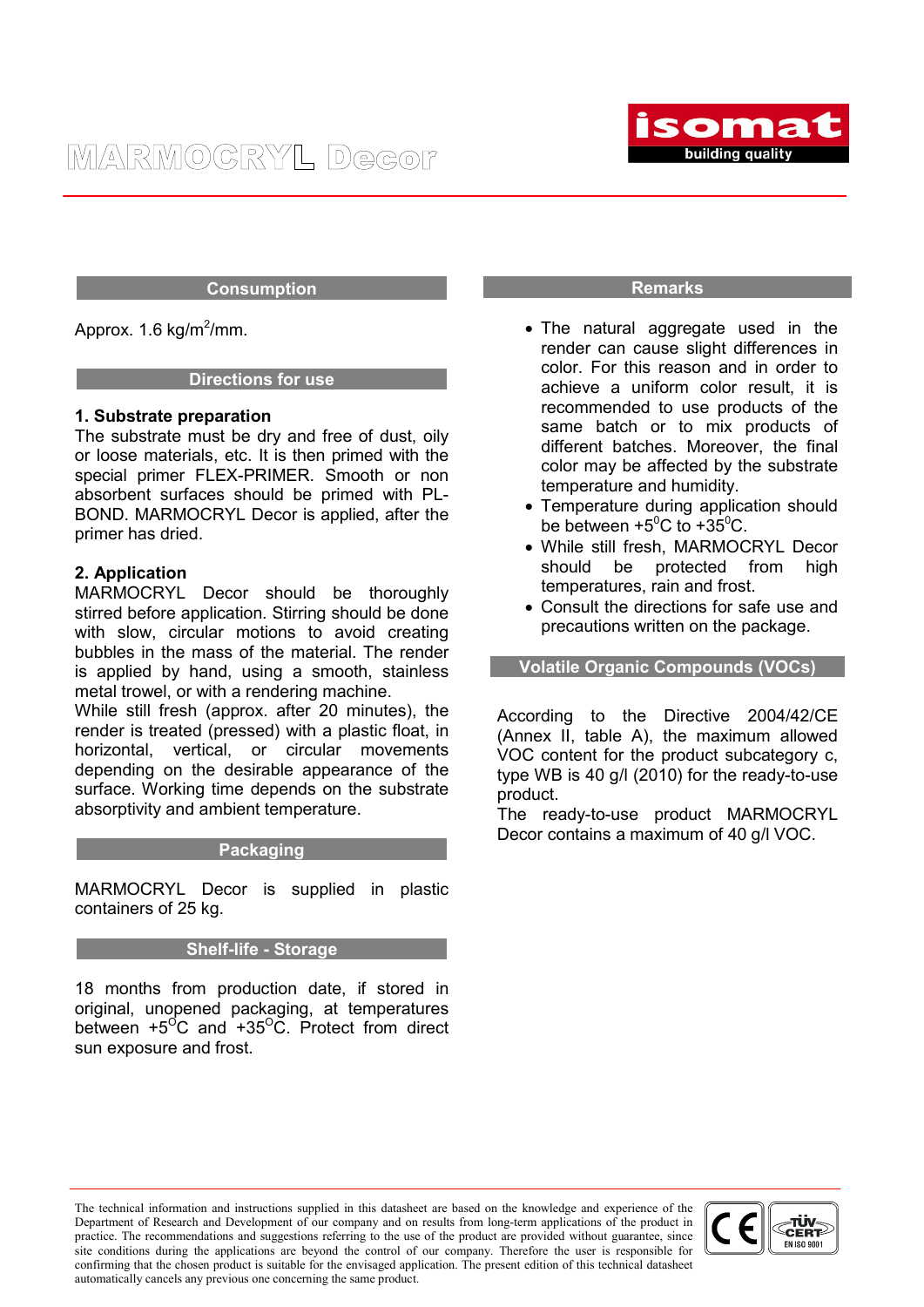

### Consumption

Approx. 1.6 kg/m<sup>2</sup>/mm.

### Directions for use

### 1. Substrate preparation

The substrate must be dry and free of dust, oily or loose materials, etc. It is then primed with the special primer FLEX-PRIMER. Smooth or non absorbent surfaces should be primed with PL-BOND. MARMOCRYL Decor is applied, after the primer has dried.

# 2. Application

MARMOCRYL Decor should be thoroughly stirred before application. Stirring should be done with slow, circular motions to avoid creating bubbles in the mass of the material. The render is applied by hand, using a smooth, stainless metal trowel, or with a rendering machine.

While still fresh (approx. after 20 minutes), the render is treated (pressed) with a plastic float, in horizontal, vertical, or circular movements depending on the desirable appearance of the surface. Working time depends on the substrate absorptivity and ambient temperature.

# **Packaging**

MARMOCRYL Decor is supplied in plastic containers of 25 kg.

# Shelf-life - Storage

18 months from production date, if stored in original, unopened packaging, at temperatures between  $+5^{\circ}$ C and  $+35^{\circ}$ C. Protect from direct sun exposure and frost.

### Remarks

- The natural aggregate used in the render can cause slight differences in color. For this reason and in order to achieve a uniform color result, it is recommended to use products of the same batch or to mix products of different batches. Moreover, the final color may be affected by the substrate temperature and humidity.
- Temperature during application should be between  $+5^{\circ}$ C to  $+35^{\circ}$ C.
- While still fresh, MARMOCRYL Decor should be protected from high temperatures, rain and frost.
- Consult the directions for safe use and precautions written on the package.

Volatile Organic Compounds (VOCs)

According to the Directive 2004/42/CE (Annex II, table A), the maximum allowed VOC content for the product subcategory c, type WB is 40 g/l (2010) for the ready-to-use product.

The ready-to-use product MARMOCRYL Decor contains a maximum of 40 g/l VOC.